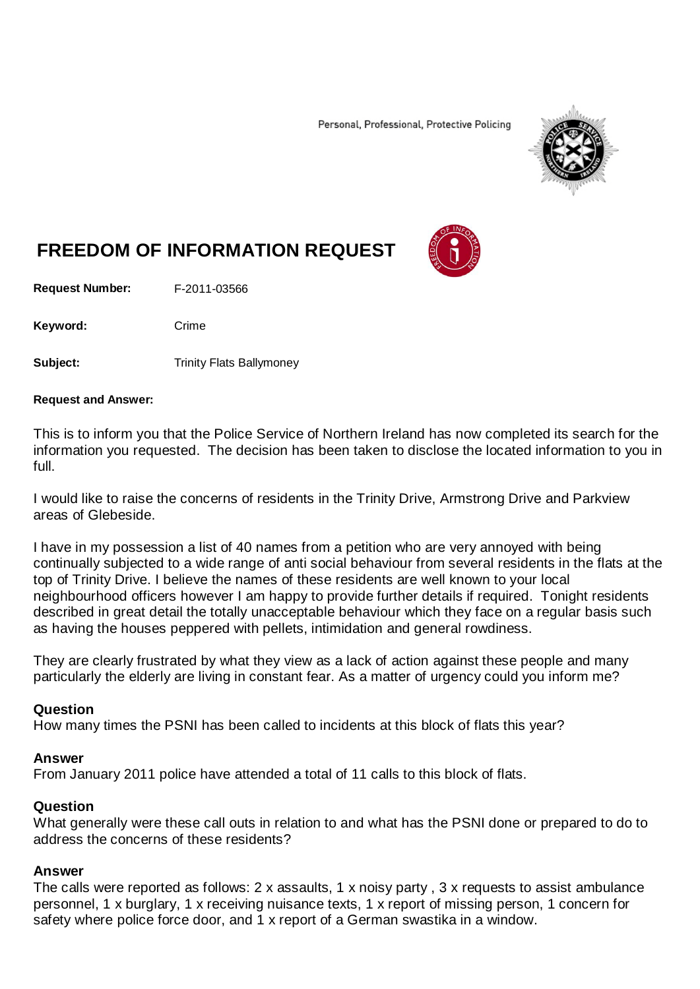Personal, Professional, Protective Policing



# **FREEDOM OF INFORMATION REQUEST**

**Request Number:** F-2011-03566

Keyword: Crime

**Subject:** Trinity Flats Ballymoney

#### **Request and Answer:**

This is to inform you that the Police Service of Northern Ireland has now completed its search for the information you requested. The decision has been taken to disclose the located information to you in full.

I would like to raise the concerns of residents in the Trinity Drive, Armstrong Drive and Parkview areas of Glebeside.

I have in my possession a list of 40 names from a petition who are very annoyed with being continually subjected to a wide range of anti social behaviour from several residents in the flats at the top of Trinity Drive. I believe the names of these residents are well known to your local neighbourhood officers however I am happy to provide further details if required. Tonight residents described in great detail the totally unacceptable behaviour which they face on a regular basis such as having the houses peppered with pellets, intimidation and general rowdiness.

They are clearly frustrated by what they view as a lack of action against these people and many particularly the elderly are living in constant fear. As a matter of urgency could you inform me?

## **Question**

How many times the PSNI has been called to incidents at this block of flats this year?

### **Answer**

From January 2011 police have attended a total of 11 calls to this block of flats.

## **Question**

What generally were these call outs in relation to and what has the PSNI done or prepared to do to address the concerns of these residents?

### **Answer**

The calls were reported as follows: 2 x assaults, 1 x noisy party , 3 x requests to assist ambulance personnel, 1 x burglary, 1 x receiving nuisance texts, 1 x report of missing person, 1 concern for safety where police force door, and 1 x report of a German swastika in a window.